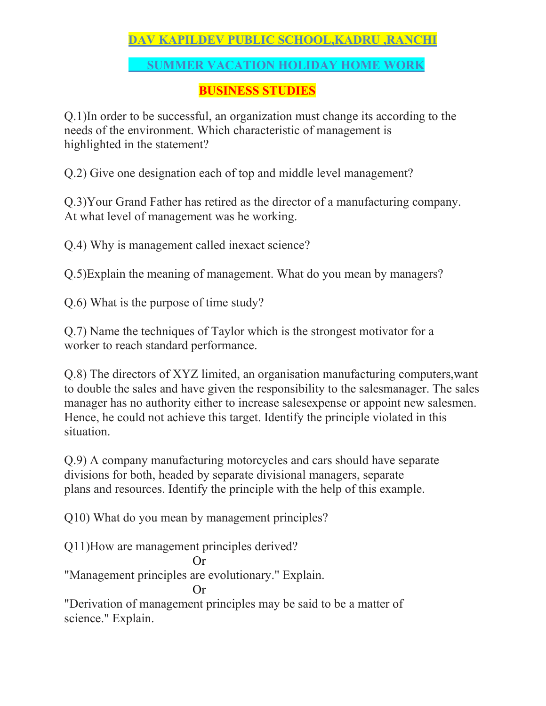# **DAV KAPILDEV PUBLIC SCHOOL,KADRU ,RANCHI**

## **SUMMER VACATION HOLIDAY HOME WORK**

## **BUSINESS STUDIES**

Q.1)In order to be successful, an organization must change its according to the needs of the environment. Which characteristic of management is highlighted in the statement?

Q.2) Give one designation each of top and middle level management?

Q.3)Your Grand Father has retired as the director of a manufacturing company. At what level of management was he working.

Q.4) Why is management called inexact science?

Q.5)Explain the meaning of management. What do you mean by managers?

Q.6) What is the purpose of time study?

Q.7) Name the techniques of Taylor which is the strongest motivator for a worker to reach standard performance.

Q.8) The directors of XYZ limited, an organisation manufacturing computers,want to double the sales and have given the responsibility to the salesmanager. The sales manager has no authority either to increase salesexpense or appoint new salesmen. Hence, he could not achieve this target. Identify the principle violated in this situation.

Q.9) A company manufacturing motorcycles and cars should have separate divisions for both, headed by separate divisional managers, separate plans and resources. Identify the principle with the help of this example.

Q10) What do you mean by management principles?

Q11)How are management principles derived?

$$
\quad \text{Or}
$$

"Management principles are evolutionary." Explain.

Or

"Derivation of management principles may be said to be a matter of science." Explain.